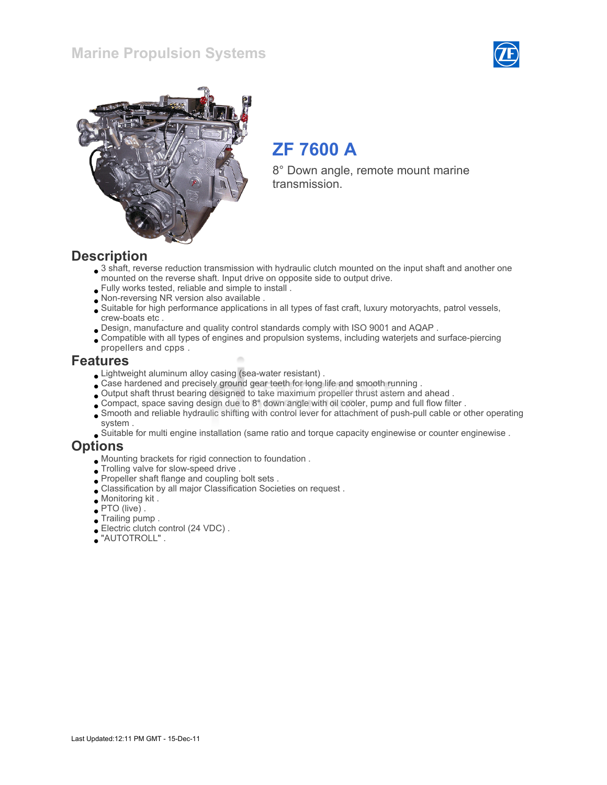### Marine Propulsion Systems





# ZF 7600 A

8° Down angle, remote mount marine transmission.

#### **Description**

- 3 shaft, reverse reduction transmission with hydraulic clutch mounted on the input shaft and another one mounted on the reverse shaft. Input drive on opposite side to output drive.
- Fully works tested, reliable and simple to install .
- Non-reversing NR version also available .
- Suitable for high performance applications in all types of fast craft, luxury motoryachts, patrol vessels, crew-boats etc .
- Design, manufacture and quality control standards comply with ISO 9001 and AQAP .
- Compatible with all types of engines and propulsion systems, including waterjets and surface-piercing propellers and cpps .

#### Features

- Lightweight aluminum alloy casing (sea-water resistant) .
- Case hardened and precisely ground gear teeth for long life and smooth running .
- Output shaft thrust bearing designed to take maximum propeller thrust astern and ahead .
- Compact, space saving design due to 8° down angle with oil cooler, pump and full flow filter .
- Smooth and reliable hydraulic shifting with control lever for attachment of push-pull cable or other operating system .
- Suitable for multi engine installation (same ratio and torque capacity enginewise or counter enginewise .

#### **Options**

- Mounting brackets for rigid connection to foundation .
- $\bullet$  Trolling valve for slow-speed drive .
- Propeller shaft flange and coupling bolt sets .
- Classification by all major Classification Societies on request .
- Monitoring kit .
- PTO (live) .
- Trailing pump .
- Electric clutch control (24 VDC) .
- "AUTOTROLL" .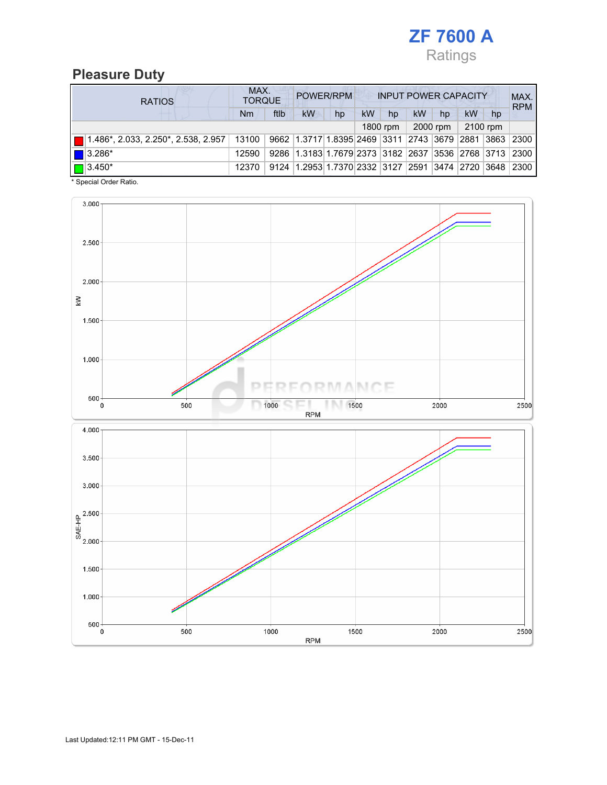

### Pleasure Duty

|  | <b>RATIOS</b>                 |       | MAX.<br>POWER/RPM<br><b>INPUT POWER CAPACITY</b><br><b>TORQUE</b> |                                                                         |    |    |            |    |          |          |    | MAX.<br><b>RPM</b> |
|--|-------------------------------|-------|-------------------------------------------------------------------|-------------------------------------------------------------------------|----|----|------------|----|----------|----------|----|--------------------|
|  |                               | Nm    | ftlb                                                              | <b>kW</b>                                                               | hp | kW | hp         | kW | hp       | kW       | hp |                    |
|  |                               |       |                                                                   |                                                                         |    |    | $1800$ rpm |    | 2000 rpm | 2100 rpm |    |                    |
|  |                               | 13100 |                                                                   | 9662 1.3717 1.8395 2469 3311 2743 3679 2881 3863 2300                   |    |    |            |    |          |          |    |                    |
|  | $\left  \right $ 3.286*       | 12590 |                                                                   | 9286   1.3183   1.7679   2373   3182   2637   3536   2768   3713   2300 |    |    |            |    |          |          |    |                    |
|  | $\boxed{\blacksquare}$ 3.450* | 12370 | 9124                                                              | 1.2953 1.7370 2332 3127 2591 3474 2720 3648                             |    |    |            |    |          |          |    | 2300               |

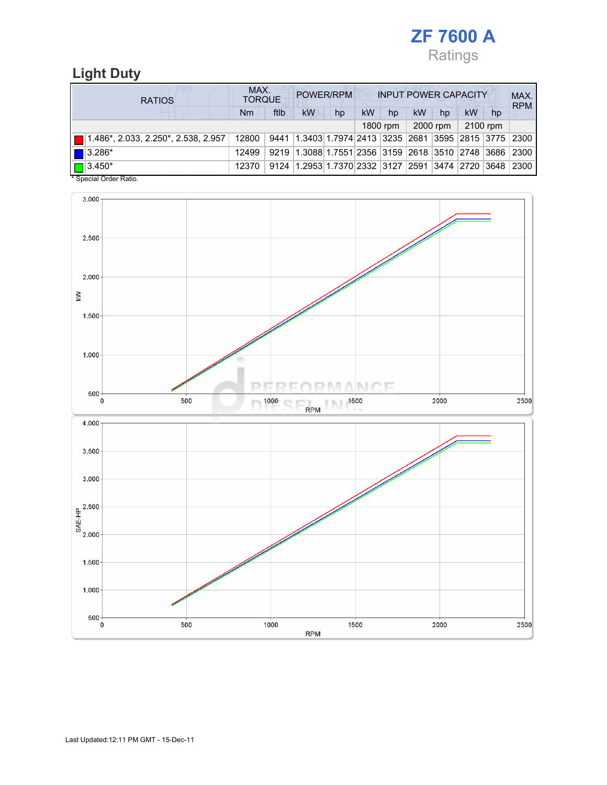

## Light Duty

| <b>RATIOS</b>                                      |       | MAX.<br>POWER/RPM<br><b>TORQUE</b> |                                                        |    |           |          | <b>INPUT POWER CAPACITY</b> |          |           |    |            |  |
|----------------------------------------------------|-------|------------------------------------|--------------------------------------------------------|----|-----------|----------|-----------------------------|----------|-----------|----|------------|--|
|                                                    | Nm    | ftlb                               | <b>kW</b>                                              | hp | <b>kW</b> | hp       | <b>kW</b>                   | hp       | <b>kW</b> | hp | <b>RPM</b> |  |
|                                                    |       |                                    |                                                        |    |           | 1800 rpm |                             | 2000 rpm | 2100 rpm  |    |            |  |
| $\blacksquare$ 1.486*, 2.033, 2.250*, 2.538, 2.957 | 12800 | 9441                               | 1.3403 1.7974 2413  3235  2681  3595  2815  3775  2300 |    |           |          |                             |          |           |    |            |  |
| $\blacksquare$ 3.286*                              | 12499 |                                    | 9219 1.3088 1.7551 2356 3159 2618 3510 2748 3686       |    |           |          |                             |          |           |    | 2300       |  |
| $\boxed{\Box}$ 3.450*                              | 12370 |                                    | 9124 1.2953 1.7370 2332 3127 2591 3474 2720 3648       |    |           |          |                             |          |           |    | 2300       |  |

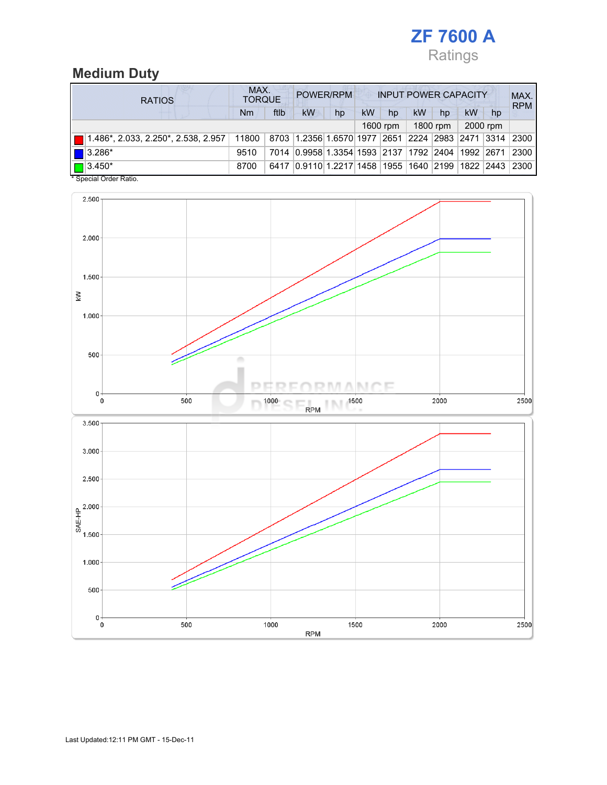

# Medium Duty

| <b>RATIOS</b>                                              |           | MAX.<br>POWER/RPM<br><b>INPUT POWER CAPACITY</b><br><b>TORQUE</b> |                                                  |    |    |          |    |          |    |          | MAX.<br><b>RPM</b> |
|------------------------------------------------------------|-----------|-------------------------------------------------------------------|--------------------------------------------------|----|----|----------|----|----------|----|----------|--------------------|
|                                                            | <b>Nm</b> | ftlb                                                              | kW                                               | hp | kW | hp       | kW | hp       | kW | hp       |                    |
|                                                            |           |                                                                   |                                                  |    |    | 1600 rpm |    | 1800 rpm |    | 2000 rpm |                    |
| $\boxed{\blacksquare}$ 1.486*, 2.033, 2.250*, 2.538, 2.957 | 11800     |                                                                   | 8703 1.2356 1.6570 1977 2651 2224 2983 2471 3314 |    |    |          |    |          |    |          | 2300               |
| $\blacksquare$ 3.286*                                      | 9510      |                                                                   | 7014 0.9958 1.3354 1593 2137 1792 2404 1992 2671 |    |    |          |    |          |    |          | 2300               |
| $\boxed{\Box}$ 3.450*                                      | 8700      |                                                                   | 6417 0.9110 1.2217 1458 1955 1640 2199 1822 2443 |    |    |          |    |          |    |          | 2300               |

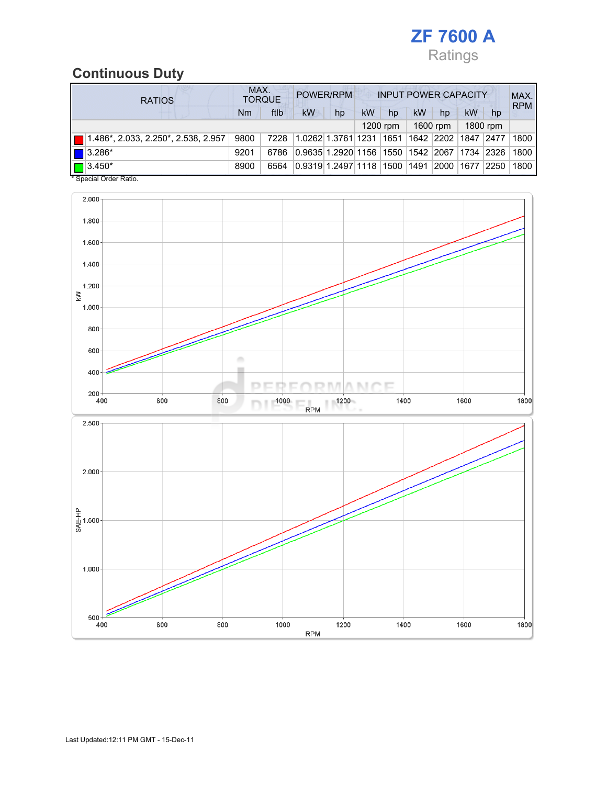

## Continuous Duty

| <b>RATIOS</b>                             |      | MAX.<br>POWER/RPM<br><b>INPUT POWER CAPACITY</b><br><b>TORQUE</b> |                                   |    |    |            |    |           |           |          | MAX.<br><b>RPM</b> |
|-------------------------------------------|------|-------------------------------------------------------------------|-----------------------------------|----|----|------------|----|-----------|-----------|----------|--------------------|
|                                           | Nm   | ftlb                                                              | <b>kW</b>                         | hp | kW | hp         | kW | hp        | kW        | hp       |                    |
|                                           |      |                                                                   |                                   |    |    | $1200$ rpm |    | 1600 rpm  |           | 1800 rpm |                    |
| 1.486*, 2.033, 2.250*, 2.538, 2.957       | 9800 | 7228                                                              | 1.0262 1.3761 1231                |    |    | 1651       |    | 1642 2202 | 1847 2477 |          | 1800               |
| $\blacksquare$ 3.286*                     | 9201 | 6786                                                              | 0.9635 1.2920 1156 1550 1542 2067 |    |    |            |    |           | 1734      | 2326     | 1800               |
| $\blacksquare$ 3.450*<br>. <del>.</del> . | 8900 | 6564                                                              | 0.9319 1.2497 1118  1500  1491    |    |    |            |    | 2000      | 1677      | 2250     | 1800               |

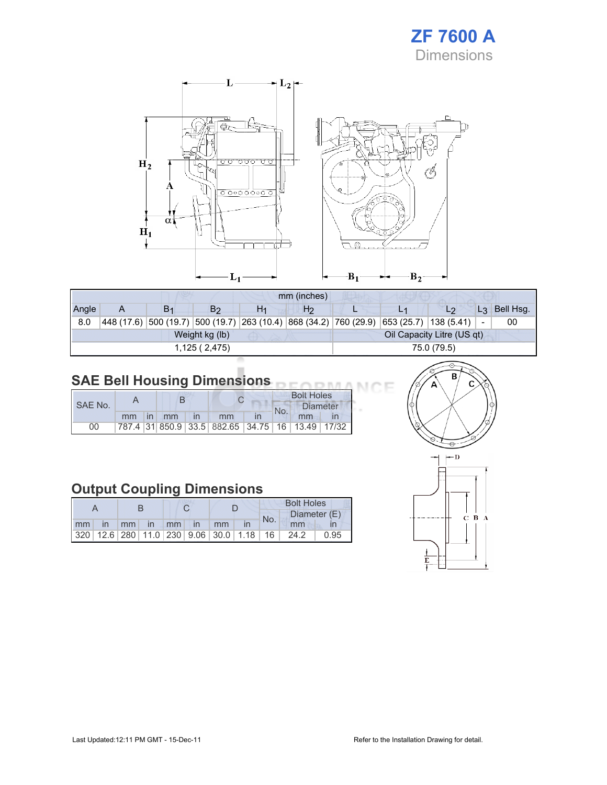



|       | mm (inches)                                  |                |                |                               |    |                     |  |                     |                          |           |
|-------|----------------------------------------------|----------------|----------------|-------------------------------|----|---------------------|--|---------------------|--------------------------|-----------|
| Angle | A                                            | B <sub>1</sub> | B <sub>2</sub> |                               | H2 |                     |  | L2                  | L <sub>3</sub>           | Bell Hsg. |
| 8.0   | 448 (17.6)                                   |                |                | 500(19.7) 500(19.7) 263(10.4) |    | 868(34.2) 760(29.9) |  | 653(25.7) 138(5.41) | $\overline{\phantom{a}}$ | 00        |
|       | Oil Capacity Litre (US qt)<br>Weight kg (lb) |                |                |                               |    |                     |  |                     |                          |           |
|       |                                              |                | 1,125(2,475)   | 75.0 (79.5)                   |    |                     |  |                     |                          |           |
|       |                                              |                |                |                               |    |                     |  |                     |                          |           |

#### SAE Bell Housing Dimensions

|         |    | B               |    |                                                 | <b>Bolt Holes</b> |    |  |
|---------|----|-----------------|----|-------------------------------------------------|-------------------|----|--|
| SAE No. |    |                 |    |                                                 | Diameter<br>No.   |    |  |
|         | mm | in <sub>1</sub> | mm | mm                                              |                   | mm |  |
| 00      |    |                 |    | 787.4 31 850.9 33.5 882.65 34.75 16 13.49 17/32 |                   |    |  |

## Output Coupling Dimensions

|    |    |  |             |  | <b>Bolt Holes</b>                                       |  |     |      |              |  |
|----|----|--|-------------|--|---------------------------------------------------------|--|-----|------|--------------|--|
|    |    |  |             |  |                                                         |  | No. |      | Diameter (E) |  |
| mm | In |  | mm in mm in |  | <sub>mm</sub>                                           |  |     | mm   |              |  |
|    |    |  |             |  | 320   12.6   280   11.0   230   9.06   30.0   1.18   16 |  |     | 24.2 | 0.95         |  |